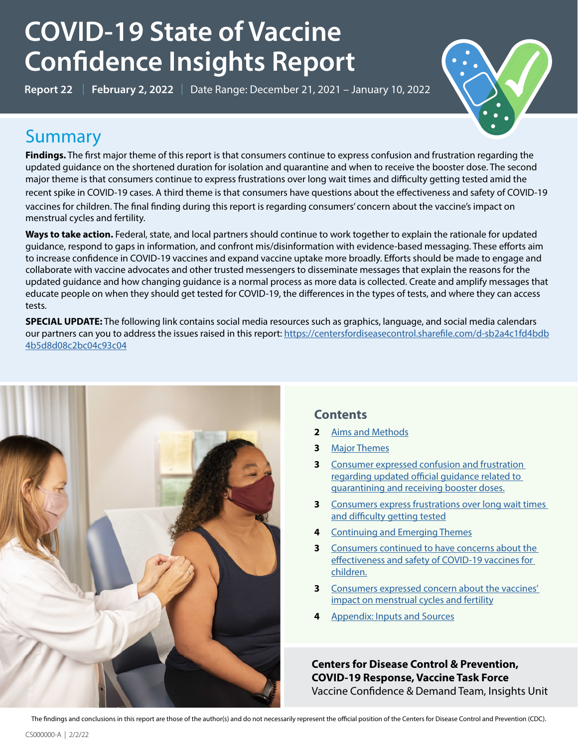# **COVID-19 State of Vaccine Confidence Insights Report**

**Report 22** | **February 2, 2022** | Date Range: December 21, 2021 – January 10, 2022



## **Summary**

**Findings.** The first major theme of this report is that consumers continue to express confusion and frustration regarding the updated guidance on the shortened duration for isolation and quarantine and when to receive the booster dose. The second major theme is that consumers continue to express frustrations over long wait times and difficulty getting tested amid the recent spike in COVID-19 cases. A third theme is that consumers have questions about the effectiveness and safety of COVID-19 vaccines for children. The final finding during this report is regarding consumers' concern about the vaccine's impact on menstrual cycles and fertility.

**Ways to take action.** Federal, state, and local partners should continue to work together to explain the rationale for updated guidance, respond to gaps in information, and confront mis/disinformation with evidence-based messaging. These efforts aim to increase confidence in COVID-19 vaccines and expand vaccine uptake more broadly. Efforts should be made to engage and collaborate with vaccine advocates and other trusted messengers to disseminate messages that explain the reasons for the updated guidance and how changing guidance is a normal process as more data is collected. Create and amplify messages that educate people on when they should get tested for COVID-19, the differences in the types of tests, and where they can access tests.

**SPECIAL UPDATE:** The following link contains social media resources such as graphics, language, and social media calendars our partners can you to address the issues raised in this report: [https://centersfordiseasecontrol.sharefile.com/d-sb2a4c1fd4bdb](https://centersfordiseasecontrol.sharefile.com/d-sb2a4c1fd4bdb4b5d8d08c2bc04c93c04) [4b5d8d08c2bc04c93c04](https://centersfordiseasecontrol.sharefile.com/d-sb2a4c1fd4bdb4b5d8d08c2bc04c93c04)



### **Contents**

- **2** [Aims and Methods](#page-1-0)
- **3** [Major Themes](#page-2-0)
- **3** [Consumer expressed confusion and frustration](#page-2-1)  [regarding updated official guidance related to](#page-2-1)  [quarantining and receiving booster doses.](#page-2-1)
- **3** [Consumers express frustrations over long wait times](#page-4-0)  [and difficulty getting tested](#page-4-0)
- **4** [Continuing and Emerging Themes](#page-5-0)
- **3** Consumers [continued to have concerns about the](#page-5-1)  [effectiveness and safety of COVID-19 vaccines for](#page-5-1)  [children.](#page-5-1)
- **3** [Consumers expressed concern about the vaccines'](#page-7-0)  [impact on menstrual cycles and fertility](#page-7-0)
- **4** [Appendix: Inputs and Sources](#page-8-0)

**Centers for Disease Control & Prevention, COVID-19 Response, Vaccine Task Force** Vaccine Confidence & Demand Team, Insights Unit

The findings and conclusions in this report are those of the author(s) and do not necessarily represent the official position of the Centers for Disease Control and Prevention (CDC).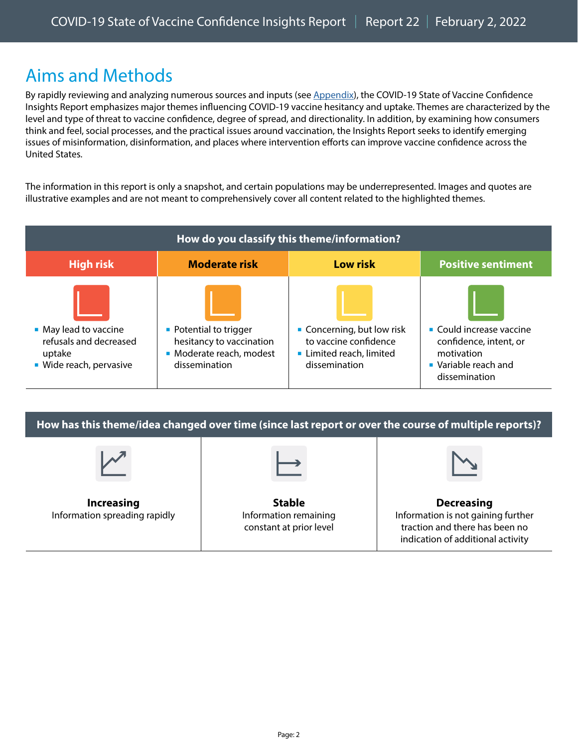## <span id="page-1-0"></span>Aims and Methods

By rapidly reviewing and analyzing numerous sources and inputs (see [Appendix\)](#page-1-0), the COVID-19 State of Vaccine Confidence Insights Report emphasizes major themes influencing COVID-19 vaccine hesitancy and uptake. Themes are characterized by the level and type of threat to vaccine confidence, degree of spread, and directionality. In addition, by examining how consumers think and feel, social processes, and the practical issues around vaccination, the Insights Report seeks to identify emerging issues of misinformation, disinformation, and places where intervention efforts can improve vaccine confidence across the United States.

The information in this report is only a snapshot, and certain populations may be underrepresented. Images and quotes are illustrative examples and are not meant to comprehensively cover all content related to the highlighted themes.

| How do you classify this theme/information?                                          |                                                                                                 |                                                                                              |                                                                                                                        |  |  |  |
|--------------------------------------------------------------------------------------|-------------------------------------------------------------------------------------------------|----------------------------------------------------------------------------------------------|------------------------------------------------------------------------------------------------------------------------|--|--|--|
| <b>High risk</b>                                                                     | <b>Moderate risk</b>                                                                            | <b>Low risk</b>                                                                              | <b>Positive sentiment</b>                                                                                              |  |  |  |
| • May lead to vaccine<br>refusals and decreased<br>uptake<br>• Wide reach, pervasive | • Potential to trigger<br>hesitancy to vaccination<br>• Moderate reach, modest<br>dissemination | Concerning, but low risk<br>to vaccine confidence<br>Limited reach, limited<br>dissemination | $\blacksquare$ Could increase vaccine<br>confidence, intent, or<br>motivation<br>• Variable reach and<br>dissemination |  |  |  |

**How has this theme/idea changed over time (since last report or over the course of multiple reports)?** 

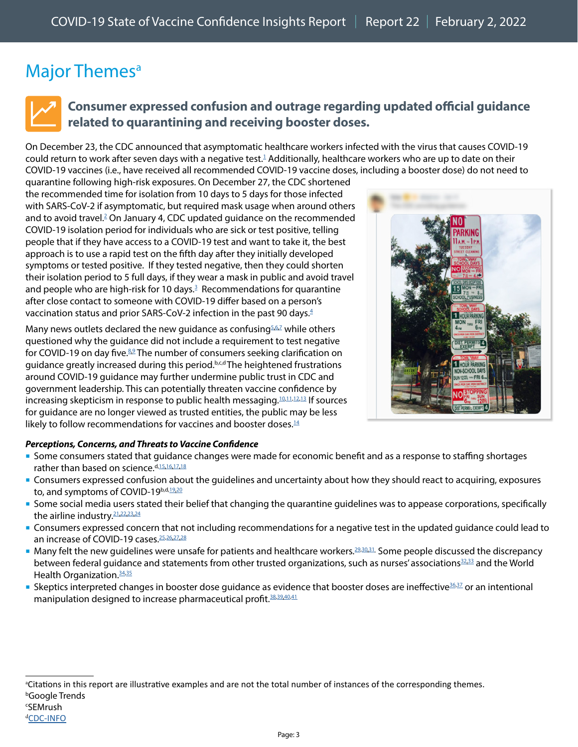## <span id="page-2-0"></span>Major Themes<sup>a</sup>



### <span id="page-2-1"></span>**Consumer expressed confusion and outrage regarding updated official guidance related to quarantining and receiving booster doses.**

On December 23, the CDC announced that asymptomatic healthcare workers infected with the virus that causes COVID-19 could return to work after seven days with a negative test. $^1$  $^1$  Additionally, healthcare workers who are up to date on their COVID-19 vaccines (i.e., have received all recommended COVID-19 vaccine doses, including a booster dose) do not need to

quarantine following high-risk exposures. On December 27, the CDC shortened the recommended time for isolation from 10 days to 5 days for those infected with SARS-CoV-2 if asymptomatic, but required mask usage when around others and to avoid travel.<sup>2</sup> On January 4, CDC updated guidance on the recommended COVID-19 isolation period for individuals who are sick or test positive, telling people that if they have access to a COVID-19 test and want to take it, the best approach is to use a rapid test on the fifth day after they initially developed symptoms or tested positive. If they tested negative, then they could shorten their isolation period to 5 full days, if they wear a mask in public and avoid travel and people who are high-risk for 10 days. $3$  Recommendations for quarantine after close contact to someone with COVID-19 differ based on a person's vaccination status and prior SARS-CoV-2 infection in the past 90 days.<sup>[4](https://www.cdc.gov/coronavirus/2019-ncov/your-health/quarantine-isolation.html)</sup>

Many news outlets declared the new guidance as confusing<sup>5[,6,](https://www.wthr.com/article/news/health/coronavirus/cdc-isolation-guidance-do-you-need-a-negative-covid-test-to-return-to-normal/531-81364365-fc01-474e-bb04-1d32cb13ec55)[7](https://www.nytimes.com/2021/12/28/business/cdc-isolation-guidelines-businesses.html)</sup> while others questioned why the guidance did not include a requirement to test negative for COVID-19 on day five.<sup>[8](https://abcnews.go.com/Politics/cdc-clarifies-isolation-guidance-criticism-call-testing/story?id=82071673)[,9](https://www.cnn.com/2022/01/04/health/cdc-updated-guidance-covid-isolation/index.html)</sup> The number of consumers seeking clarification on guidance greatly increased during this period.b,c,d The heightened frustrations around COVID-19 guidance may further undermine public trust in CDC and government leadership. This can potentially threaten vaccine confidence by increasing skepticism in response to public health messaging. $10,11,12,13$  $10,11,12,13$  $10,11,12,13$  $10,11,12,13$  If sources for guidance are no longer viewed as trusted entities, the public may be less likely to follow recommendations for vaccines and booster doses. $14$ 



#### *Perceptions, Concerns, and Threats to Vaccine Confidence*

- Some consumers stated that guidance changes were made for economic benefit and as a response to staffing shortages rather than based on science. d, 15, 16, [17,](https://www.facebook.com/cdc/posts/288612173300228?comment_id=288708236623955&__cft__%5b0%5d=AZXxIpNoP4uChqg4f_o8TIpAq36DdnOpIzNNQmeG7PEdNr5jvktNk-r12sjtMDcNxaVlHLJIoLoG7y1f0MJ5XJQ13cgEUWTTYOmdmy6Ny5DnIEef7Wfm0adJvydBvWSuujXuGjJKoBBTXeJLfV1wXik0&__tn__=R%5d-R) [18](https://twitter.com/5_utr/status/1474165052789997568)
- Consumers expressed confusion about the guidelines and uncertainty about how they should react to acquiring, exposures to, and symptoms of COVID-19b,d[,19,](https://www.facebook.com/cdc/posts/283573423804103?comment_id=1175471642860603&__cft__%5b0%5d=AZXXQL84GxoDn-wQWp82ecsrs8KReOjKYhtiM5IKxdEOpTRTGpVo7HP0E-_W58xhceIQLyINYtYZZ78DH0ZGma_wDWkJeeJTF7HwtnYJv_a_dd9ccuPN2oHf_9st3RlIun-Pq5FkzqHtUNfGH2Ev9zMDNPHoI6zERe-LRKGt1Am7Ig&__tn__=R%5d-R)[20](https://www.facebook.com/cdc/posts/286842813477164?comment_id=441797687441958&__cft__%5b0%5d=AZWnRMccm47hScZNY7GnS_vvlqZ3tZWUzvYArFsgMFAv34nXSycxObYPnXOU0IcA6z27GoSsOh-R3Wg5w6DI9Zvc-3GBucPA17rkc5kLl9wTgWQ-HvdXY_3phEdDSQbsUJqK23X_19s0T3Qq_F9DY8Em&__tn__=R%5d-R)
- Some social media users stated their belief that changing the quarantine guidelines was to appease corporations, specifically the airline industry.<sup>21,[22](https://www.instagram.com/p/CYR20dBMF1E/c/18208670383143201/)[,23](https://twitter.com/headi420/status/1479444452523479040),[24](https://www.instagram.com/p/CYAJSeQFlY_/c/17949894652616481/)</sup>
- Consumers expressed concern that not including recommendations for a negative test in the updated guidance could lead to an increase of COVID-19 cases.<sup>[25](https://www.studyfinds.org/airplane-passengers-covid-rapid-tests-quarantine/)[,26,](https://twitter.com/sophcompton/status/1479968704565850115)[27](https://www.cnbc.com/2022/01/04/cdc-adds-testing-guidance-to-shortened-covid-isolation-recommendation-after-facing-criticism.html)[,28](https://www.arkansasonline.com/news/2022/jan/10/cdc-defends-guidelines/)</sup>
- Many felt the new quidelines were unsafe for patients and healthcare workers.<sup>[29](https://twitter.com/kurteichenwald/status/1478349586284650496)[,30,](https://twitter.com/bryan_trader/status/1474165974534340611)[31](https://twitter.com/Kristen_567/status/1474173718700204032)</sup> Some people discussed the discrepancy between federal guidance and statements from other trusted organizations, such as nurses' associations $32,33$  and the World Health Organization. 34,[35](https://www.breitbart.com/national-security/2022/01/20/w-h-o-no-evidence-healthy-children-or-teens-need-booster-shots/)
- Skeptics interpreted changes in booster dose guidance as evidence that booster doses are ineffective<sup>36,[37](https://www.gettr.com/user/epochtimes)</sup> or an intentional manipulation designed to increase pharmaceutical profit.<sup>38,[39](https://twitter.com/Rasmussen_Poll/status/1479562378417262592)[,40](https://www.gettr.com/comment/cfjm898c30),[41](https://www.gettr.com/comment/cfivsc9691)</sup>

### c SEMrush

```
CDC-INFO</sub>
```
a Citations in this report are illustrative examples and are not the total number of instances of the corresponding themes. b Google Trends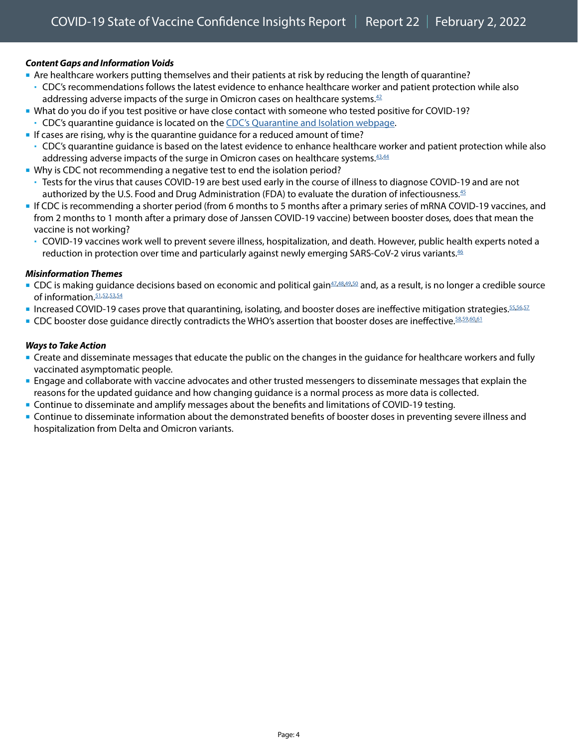#### *Content Gaps and Information Voids*

- Are healthcare workers putting themselves and their patients at risk by reducing the length of quarantine?
- CDC's recommendations follows the latest evidence to enhance healthcare worker and patient protection while also addressing adverse impacts of the surge in Omicron cases on healthcare systems. $42$
- What do you do if you test positive or have close contact with someone who tested positive for COVID-19? CDC's quarantine guidance is located on the [CDC's Quarantine and Isolation webpage](https://www.cdc.gov/coronavirus/2019-ncov/your-health/quarantine-isolation.html).
- If cases are rising, why is the quarantine guidance for a reduced amount of time?
- CDC's quarantine guidance is based on the latest evidence to enhance healthcare worker and patient protection while also addressing adverse impacts of the surge in Omicron cases on healthcare systems. $43.44$
- Why is CDC not recommending a negative test to end the isolation period?
- Tests for the virus that causes COVID-19 are best used early in the course of illness to diagnose COVID-19 and are not authorized by the U.S. Food and Drug Administration (FDA) to evaluate the duration of infectiousness.[45](https://www.cdc.gov/coronavirus/2019-ncov/if-you-are-sick/quarantine-isolation-background.html)
- If CDC is recommending a shorter period (from 6 months to 5 months after a primary series of mRNA COVID-19 vaccines, and from 2 months to 1 month after a primary dose of Janssen COVID-19 vaccine) between booster doses, does that mean the vaccine is not working?
	- COVID-19 vaccines work well to prevent severe illness, hospitalization, and death. However, public health experts noted a reduction in protection over time and particularly against newly emerging SARS-CoV-2 virus variants.<sup>[46](https://www.cdc.gov/coronavirus/2019-ncov/vaccines/booster-shot.html)</sup>

#### *Misinformation Themes*

- CDC is making guidance decisions based on economic and political gain<sup>[47](https://www.facebook.com/cdc/posts/288612173300228?comment_id=288708306623948&__cft__%5b0%5d=AZXxIpNoP4uChqg4f_o8TIpAq36DdnOpIzNNQmeG7PEdNr5jvktNk-r12sjtMDcNxaVlHLJIoLoG7y1f0MJ5XJQ13cgEUWTTYOmdmy6Ny5DnIEef7Wfm0adJvydBvWSuujXuGjJKoBBTXeJLfV1wXik0&__tn__=R%5d-R)[,48](https://www.facebook.com/cdc/posts/286820610146051?comment_id=286944886800290&__cft__%5b0%5d=AZUKOwhJyoL3NaahjmHuJ_KoALQuIL7PElRkkiO-uSNCOIeN8IIpgSmKd86l-aQCk9FbJDbNvBcgX2FU10dRbDCB1DXq-zgurnuItoKJ4tdRnQ8wOcJsqlPGguf-7hcfY3y2f9xlbyodp7xLz79iGIrcTqmPlzsrss3biIF3gk9yAQ&__tn__=R%5d-R),[49](https://www.facebook.com/cdc/posts/286820610146051?comment_id=286850363476409&__cft__%5b0%5d=AZUKOwhJyoL3NaahjmHuJ_KoALQuIL7PElRkkiO-uSNCOIeN8IIpgSmKd86l-aQCk9FbJDbNvBcgX2FU10dRbDCB1DXq-zgurnuItoKJ4tdRnQ8wOcJsqlPGguf-7hcfY3y2f9xlbyodp7xLz79iGIrcTqmPlzsrss3biIF3gk9yAQ&__tn__=R%5d-R),50</sup> and, as a result, is no longer a credible source of information.<sup>[51](https://www.facebook.com/cdc/posts/286820610146051?comment_id=287120610116051),[52,](https://rumble.com/user/Cindylu65)[53](https://twitter.com/Rasmussen_Poll/status/1479562378417262592),[54](https://www.axios.com/axios-ipsos-poll-unvaccinated-covid-0b2f2a54-472e-418b-9281-b32763f4c7b4.html)</sup>
- Increased COVID-19 cases prove that quarantining, isolating, and booster doses are ineffective mitigation strategies. [55](https://www.instagram.com/p/CYUNWDYs1iK/c/17925861076908700/)[,56,](https://twitter.com/beadacratiain/status/1479447846906589184)[57](https://www.gettr.com/user/epochtimes)
- CDC booster dose guidance directly contradicts the WHO's assertion that booster doses are ineffective. 58,[59](https://disqus.com/by/EMcF/),[60,](https://www.instagram.com/p/CYpFhZJFkMs/c/18209319976142790/)[61](https://www.instagram.com/p/CYt2cDEs3oJ/c/17989717750425458/r/17941985665788082/)

#### *Ways to Take Action*

- **Create and disseminate messages that educate the public on the changes in the guidance for healthcare workers and fully** vaccinated asymptomatic people.
- Engage and collaborate with vaccine advocates and other trusted messengers to disseminate messages that explain the reasons for the updated guidance and how changing guidance is a normal process as more data is collected.
- Continue to disseminate and amplify messages about the benefits and limitations of COVID-19 testing.
- Continue to disseminate information about the demonstrated benefits of booster doses in preventing severe illness and hospitalization from Delta and Omicron variants.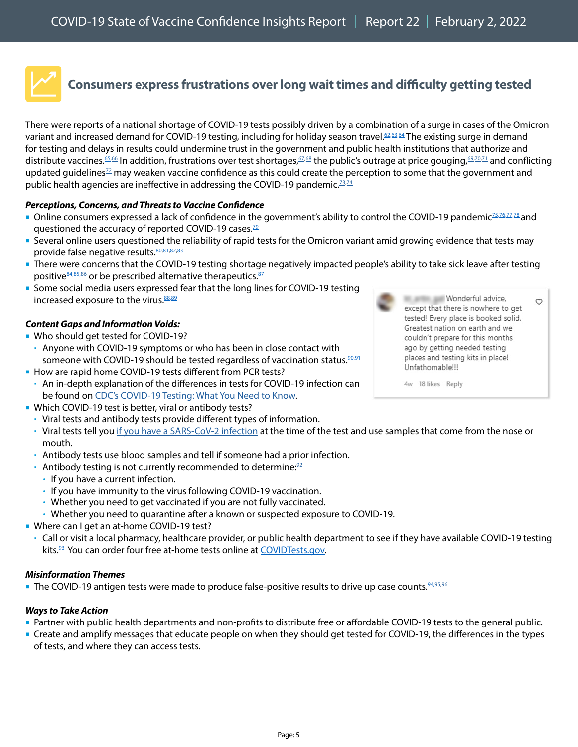

### <span id="page-4-0"></span>**Consumers express frustrations over long wait times and difficulty getting tested**

There were reports of a national shortage of COVID-19 tests possibly driven by a combination of a surge in cases of the Omicron variant and increased demand for COVID-19 testing, including for holiday season travel.<sup>62,[63](https://local12.com/news/nation-world/biden-tells-americans-looking-for-covid-test-sites-they-should-just-google-it-president-joe-omicron-covid-testing-sites-antigen-coronavirus),64</sup> The existing surge in demand for testing and delays in results could undermine trust in the government and public health institutions that authorize and distribute vaccines.<sup>[65](https://twitter.com/tomaskenn/status/1479458653119918083),66</sup> In addition, frustrations over test shortages,<sup>67,[68](https://www.instagram.com/p/CXzAPISsnEk/c/17920199876106907/)</sup> the public's outrage at price gouging,<sup>[69,](https://www.instagram.com/p/CX1rAHjs-le/c/17914060430225364/)[70](https://consumer.healthday.com/amid-covid-19-test-shortages-price-gouging-is-on-the-rise-2656328938.html),71</sup> and conflicting updated guidelines $^{72}$  $^{72}$  $^{72}$  may weaken vaccine confidence as this could create the perception to some that the government and public health agencies are ineffective in addressing the COVID-19 pandemic.<sup>[73](https://www.instagram.com/p/CXzAPISsnEk/c/17938576741718849/),74</sup>

#### *Perceptions, Concerns, and Threats to Vaccine Confidence*

- Online consumers expressed a lack of confidence in the government's ability to control the COVID-19 pandemic<sup>75[,76](https://www.instagram.com/p/CXzAPISsnEk/c/17887958876534506/),[77](https://www.instagram.com/p/CXzAPISsnEk/c/18181625485086185/)[,78](https://www.instagram.com/p/CXzAPISsnEk/c/17940699508735158/)</sup> and questioned the accuracy of reported COVID-19 cases.<sup>79</sup>
- Several online users questioned the reliability of rapid tests for the Omicron variant amid growing evidence that tests may provide false negative results. 80,[81](https://www.physiciansweekly.com/some-at-home-tests-may-miss-omicron-in-early-stages-of-infection)[,82,](https://www.devdiscourse.com/article/health/1875369-rapid-nose-swab-tests-for-covid-may-not-detect-omicron-quickly-enough--expert-says)[83](https://twitter.com/EinarsonNan/status/1481976424416296961)
- There were concerns that the COVID-19 testing shortage negatively impacted people's ability to take sick leave after testing positive<sup>84,[85](https://twitter.com/xHeckKTx/status/1479884273423462409),86</sup> or be prescribed alternative therapeutics.<sup>87</sup>
- Some social media users expressed fear that the long lines for COVID-19 testing increased exposure to the virus. [88](https://twitter.com/rabbott32753277/status/1478750506361266180)[,89](https://twitter.com/IanRussellTV/status/1479569785864130561)

#### *Content Gaps and Information Voids:*

- Who should get tested for COVID-19?
	- Anyone with COVID-19 symptoms or who has been in close contact with someone with COVID-19 should be tested regardless of vaccination status.<sup>90[,91](https://www.nejm.org/doi/full/10.1056/NEJMcp2117115?query=featured_home)</sup>
- How are rapid home COVID-19 tests different from PCR tests?
- An in-depth explanation of the differences in tests for COVID-19 infection can be found on [CDC's COVID-19 Testing: What You Need to Know](https://www.cdc.gov/coronavirus/2019-ncov/symptoms-testing/testing.html).
- Which COVID-19 test is better, viral or antibody tests?
	- Viral tests and antibody tests provide different types of information.
	- Viral tests tell you [if you have a SARS-CoV-2 infection](https://www.cdc.gov/coronavirus/2019-ncov/testing/diagnostic-testing.html) at the time of the test and use samples that come from the nose or mouth.
	- Antibody tests use blood samples and tell if someone had a prior infection.
	- Antibody testing is not currently recommended to determine: $92$
	- $\cdot$  If you have a current infection.
	- If you have immunity to the virus following COVID-19 vaccination.
	- Whether you need to get vaccinated if you are not fully vaccinated.
	- Whether you need to quarantine after a known or suspected exposure to COVID-19.
- Where can I get an at-home COVID-19 test?
	- Call or visit a local pharmacy, healthcare provider, or public health department to see if they have available COVID-19 testing kits.<sup>93</sup> You can order four free at-home tests online at [COVIDTests.gov](https://www.covidtest.gov/).

#### *Misinformation Themes*

• The COVID-19 antigen tests were made to produce false-positive results to drive up case counts. 94,[95](https://rumble.com/user/Doulbelung)[,96](https://twitter.com/michaelmina_lab)

#### *Ways to Take Action*

- Partner with public health departments and non-profits to distribute free or affordable COVID-19 tests to the general public.
- Create and amplify messages that educate people on when they should get tested for COVID-19, the differences in the types of tests, and where they can access tests.

Wonderful advice, except that there is nowhere to get tested! Every place is booked solid. Greatest nation on earth and we couldn't prepare for this months ago by getting needed testing places and testing kits in place! Unfathomable!!!

 $\circ$ 

<sup>4</sup>w 18 likes Reply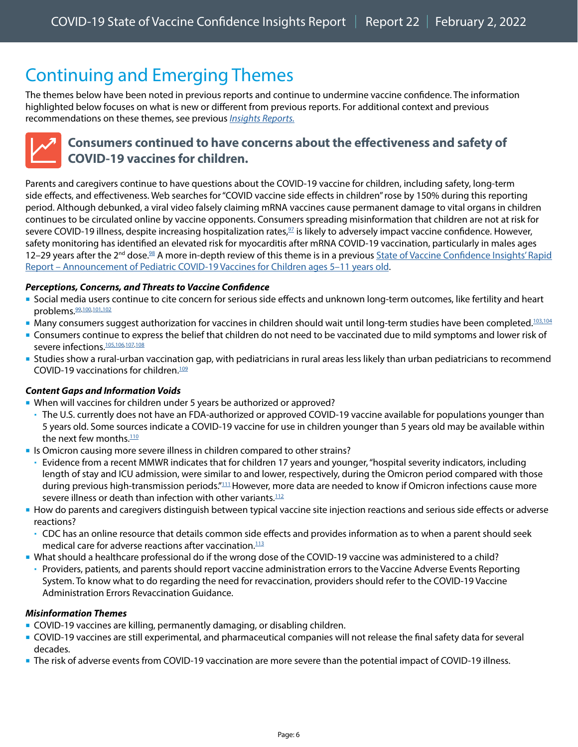## <span id="page-5-0"></span>Continuing and Emerging Themes

The themes below have been noted in previous reports and continue to undermine vaccine confidence. The information highlighted below focuses on what is new or different from previous reports. For additional context and previous recommendations on these themes, see previous *[Insights Reports.](https://www.cdc.gov/vaccines/covid-19/vaccinate-with-confidence.html#reports)*

### <span id="page-5-1"></span>**Consumers continued to have concerns about the effectiveness and safety of COVID-19 vaccines for children.**

Parents and caregivers continue to have questions about the COVID-19 vaccine for children, including safety, long-term side effects, and effectiveness. Web searches for "COVID vaccine side effects in children" rose by 150% during this reporting period. Although debunked, a viral video falsely claiming mRNA vaccines cause permanent damage to vital organs in children continues to be circulated online by vaccine opponents. Consumers spreading misinformation that children are not at risk for severe COVID-19 illness, despite increasing hospitalization rates, $\frac{97}{2}$  is likely to adversely impact vaccine confidence. However, safety monitoring has identified an elevated risk for myocarditis after mRNA COVID-19 vaccination, particularly in males ages 12–29 years after the 2<sup>nd</sup> dose.<sup>[98](https://www.cdc.gov/mmwr/volumes/70/wr/mm7027e2.htm)</sup> A more in-depth review of this theme is in a previous State of Vaccine Confidence Insights' Rapid [Report – Announcement of Pediatric COVID-19 Vaccines for Children ages 5–11 years old](https://www.cdc.gov/vaccines/covid-19/downloads/2564_SoVC_PedsVaccine_11.15.21.pdf).

#### *Perceptions, Concerns, and Threats to Vaccine Confidence*

- Social media users continue to cite concern for serious side effects and unknown long-term outcomes, like fertility and heart problems. [99](https://twitter.com/TotenkopfDas/status/1477467474572419076), 100, [101,](https://www.facebook.com/cdc/posts/282891250538987?comment_id=571983990636944&__cft__%5b0%5d=AZUEkjRxdiT5tRalIBju7_L9o7vMwNZjYZeGAaRemFWF6UDzcY861stavq1Omo9llzlduRGBXLADtI7OUyPIYGHGpCMmqt7mH2Tw9EEMthZI8JHdr1Cn6oKaDiSqJqflyBA7SSl28v3RZ0O2hJUxKR_W&__tn__=R%5d-R%22%20\t%20%22_blank) [102](https://www.facebook.com/cdc/posts/287434433418002?comment_id=287452040082908&__cft__%5b0%5d=AZXt_AyXlTXy4iQYKkwV7O-gpG7q1IpmkbkbvO3nlygac3RV-ZPbwdYLLwIUzQzDB1MdH093xI7QcyDBNeU75htOp3jo7_xBG12vo7vnw3VhRLXEeNOaheLYESzmFQ-0wZUOJWOCjJQYZoDEBN_cfQ70&__tn__=R%5d-R%22%20\t%20%22_blank)
- Many consumers suggest authorization for vaccines in children should wait until long-term studies have been completed.<sup>[103](https://twitter.com/war63495002/status/1473371320805052418),[104](https://www.facebook.com/cdc/posts/283563710471741?comment_id=283585380469574&__cft__%5b0%5d=AZWsr-nqZA4LTFA1lzTL9XnvhKwv3LmaAU0n-v-Vv7YEFuA2GTRNMv2dfi6hUd4rfMXAjgXHUSGvRILM0dqcf5mD8qUSzCfSocWDIGDAzoFhHOkGrtWwIEvrVqk810-Z79HPWZE3dy3osDQsy2JQw8pI&__tn__=R%5d-R%22%20\t%20%22_blank)</sup>
- Consumers continue to express the belief that children do not need to be vaccinated due to mild symptoms and lower risk of severe infections.<sup>105[,106,](https://www.instagram.com/p/CYJ-tQmMUJg/c/17996465431399937/%22%20/t%20%22_blank)[107](https://www.instagram.com/p/CYJ-tQmMUJg/c/17881589369521902/%22%20/t%20%22_blank),[108](https://www.facebook.com/cdc/posts/282891250538987?comment_id=282945460533566&__cft__%5b0%5d=AZUEkjRxdiT5tRalIBju7_L9o7vMwNZjYZeGAaRemFWF6UDzcY861stavq1Omo9llzlduRGBXLADtI7OUyPIYGHGpCMmqt7mH2Tw9EEMthZI8JHdr1Cn6oKaDiSqJqflyBA7SSl28v3RZ0O2hJUxKR_W&__tn__=R%5d-R%22%20\t%20%22_blank)</sup>
- Studies show a rural-urban vaccination gap, with pediatricians in rural areas less likely than urban pediatricians to recommend COVID-19 vaccinations for children.[109](https://www.kff.org/coronavirus-covid-19/poll-finding/kff-covid-19-vaccine-monitor-vaccine-attitudes-rural-suburban-urban/)

#### *Content Gaps and Information Voids*

- When will vaccines for children under 5 years be authorized or approved?
	- The U.S. currently does not have an FDA-authorized or approved COVID-19 vaccine available for populations younger than 5 years old. Some sources indicate a COVID-19 vaccine for use in children younger than 5 years old may be available within the next few months. $110$
- If Is Omicron causing more severe illness in children compared to other strains?
	- Evidence from a recent MMWR indicates that for children 17 years and younger, "hospital severity indicators, including length of stay and ICU admission, were similar to and lower, respectively, during the Omicron period compared with those during previous high-transmission periods.<sup>["111](https://www.cdc.gov/mmwr/volumes/71/wr/mm7104e4.htm?s_cid=mm7104e4_w)</sup>However, more data are needed to know if Omicron infections cause more severe illness or death than infection with other variants.<sup>112</sup>
- How do parents and caregivers distinguish between typical vaccine site injection reactions and serious side effects or adverse reactions?
	- CDC has an online resource that details common side effects and provides information as to when a parent should seek medical care for adverse reactions after vaccination.<sup>113</sup>
- What should a healthcare professional do if the wrong dose of the COVID-19 vaccine was administered to a child?
- Providers, patients, and parents should report vaccine administration errors to the Vaccine Adverse Events Reporting System. To know what to do regarding the need for revaccination, providers should refer to the [COVID-19 Vaccine](https://www.cdc.gov/vaccines/covid-19/downloads/covid19-vaccine-errors-deviations.pdf)  [Administration Errors Revaccination Guidance](https://www.cdc.gov/vaccines/covid-19/downloads/covid19-vaccine-errors-deviations.pdf).

#### *Misinformation Themes*

- COVID-19 vaccines are killing, permanently damaging, or disabling children.
- COVID-19 vaccines are still experimental, and pharmaceutical companies will not release the final safety data for several decades.
- The risk of adverse events from COVID-19 vaccination are more severe than the potential impact of COVID-19 illness.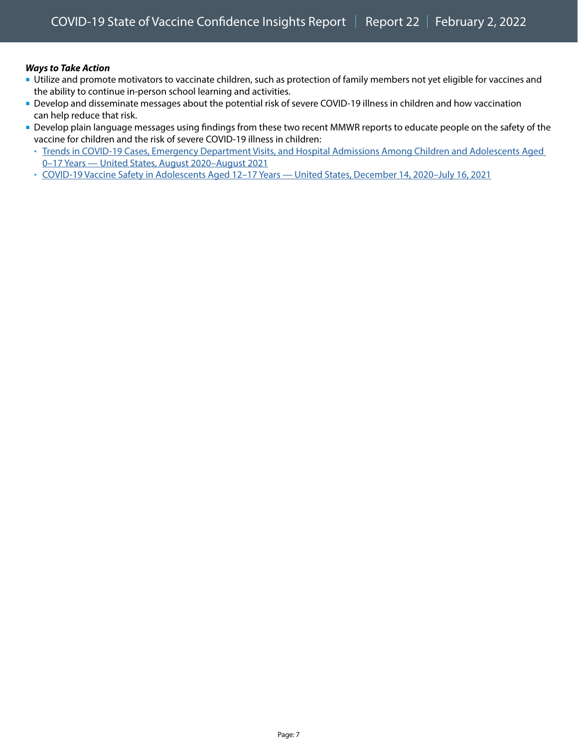#### *Ways to Take Action*

- Utilize and promote motivators to vaccinate children, such as protection of family members not yet eligible for vaccines and the ability to continue in-person school learning and activities.
- Develop and disseminate messages about the potential risk of severe COVID-19 illness in children and how vaccination can help reduce that risk.
- Develop plain language messages using findings from these two recent MMWR reports to educate people on the safety of the vaccine for children and the risk of severe COVID-19 illness in children:
	- [Trends in COVID-19 Cases, Emergency Department Visits, and Hospital Admissions Among Children and Adolescents Aged](http://dx.doi.org/10.15585/mmwr.mm7036e1)  [0–17 Years — United States, August 2020–August 2021](http://dx.doi.org/10.15585/mmwr.mm7036e1)
	- [COVID-19 Vaccine Safety in Adolescents Aged 12–17 Years United States, December 14, 2020–July 16, 2021](http://dx.doi.org/10.15585/mmwr.mm7031e1)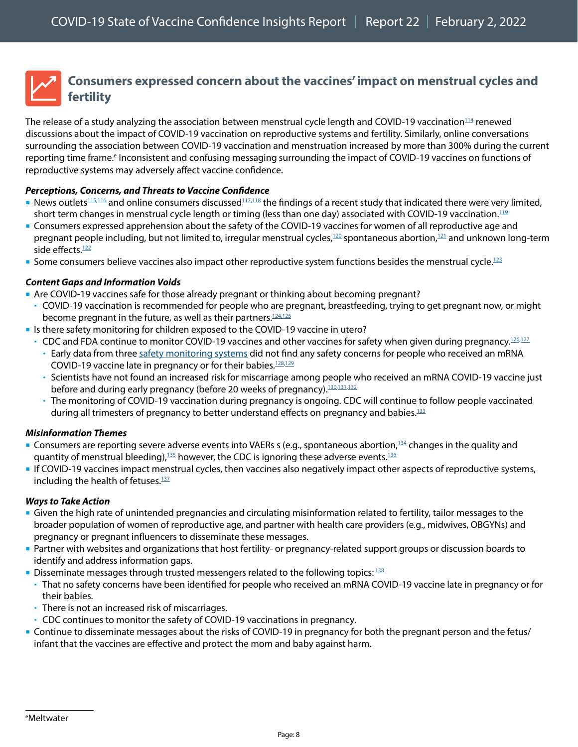## <span id="page-7-0"></span>**Consumers expressed concern about the vaccines' impact on menstrual cycles and fertility**

The release of a study analyzing the association between menstrual cycle length and COVID-19 vaccination<sup>114</sup> renewed discussions about the impact of COVID-19 vaccination on reproductive systems and fertility. Similarly, online conversations surrounding the association between COVID-19 vaccination and menstruation increased by more than 300% during the current reporting time frame.<sup>e</sup> Inconsistent and confusing messaging surrounding the impact of COVID-19 vaccines on functions of reproductive systems may adversely affect vaccine confidence.

#### *Perceptions, Concerns, and Threats to Vaccine Confidence*

- News outlets<sup>[115](https://www.natureworldnews.com/articles/48833/20220110/covid-vaccine-woman-s-period.htm),116</sup> and online consumers discussed<sup>117,[118](https://twitter.com/intent/retweet?tweet_id=1484657058137853952)</sup> the findings of a recent study that indicated there were very limited, short term changes in menstrual cycle length or timing (less than one day) associated with COVID-19 vaccination.<sup>112</sup>
- Consumers expressed apprehension about the safety of the COVID-19 vaccines for women of all reproductive age and pregnant people including, but not limited to, irregular menstrual cycles,<sup>120</sup> spontaneous abortion,<sup>[121](https://twitter.com/vafhewston/status/1473774460717178887)</sup> and unknown long-term side effects.<sup>122</sup>
- Some consumers believe vaccines also impact other reproductive system functions besides the menstrual cycle.<sup>[123](https://www.instagram.com/p/CYUVUpmMO0C/c/17922531653109188/)</sup>

#### *Content Gaps and Information Voids*

- Are COVID-19 vaccines safe for those already pregnant or thinking about becoming pregnant?
- COVID-19 vaccination is recommended for people who are pregnant, breastfeeding, trying to get pregnant now, or might become pregnant in the future, as well as their partners.<sup>124[,125](https://www.cdc.gov/coronavirus/2019-ncov/vaccines/recommendations/pregnancy.html)</sup>
- If Is there safety monitoring for children exposed to the COVID-19 vaccine in utero?
	- CDC and FDA continue to monitor COVID-19 vaccines and other vaccines for safety when given during pregnancy.<sup>126,127</sup>
		- Early data from three [safety monitoring systems](https://www.cdc.gov/coronavirus/2019-ncov/vaccines/safety/monitoring-pregnant-people.html) did not find any safety concerns for people who received an mRNA COVID-19 vaccine late in pregnancy or for their babies.<sup>128[,129](https://www.ncbi.nlm.nih.gov/pmc/articles/PMC8486391/)</sup>
		- Scientists have not found an increased risk for miscarriage among people who received an mRNA COVID-19 vaccine just before and during early pregnancy (before 20 weeks of pregnancy).<sup>130,[131](https://jamanetwork.com/journals/jama/article-abstract/2784193),132</sup>
		- The monitoring of COVID-19 vaccination during pregnancy is ongoing. CDC will continue to follow people vaccinated during all trimesters of pregnancy to better understand effects on pregnancy and babies.<sup>133</sup>

#### *Misinformation Themes*

- **Consumers are reporting severe adverse events into VAERs s (e.g., spontaneous abortion**,<sup>134</sup> changes in the quality and quantity of menstrual bleeding), $135$  however, the CDC is ignoring these adverse events.<sup>[136](https://www.gettr.com/post/pmny9g942c)</sup>
- If COVID-19 vaccines impact menstrual cycles, then vaccines also negatively impact other aspects of reproductive systems, including the health of fetuses.<sup>[137](https://www.gettr.com/post/pnm659a42c)</sup>

#### *Ways to Take Action*

- Given the high rate of unintended pregnancies and circulating misinformation related to fertility, tailor messages to the broader population of women of reproductive age, and partner with health care providers (e.g., midwives, OBGYNs) and pregnancy or pregnant influencers to disseminate these messages.
- Partner with websites and organizations that host fertility- or pregnancy-related support groups or discussion boards to identify and address information gaps.
- Disseminate messages through trusted messengers related to the following topics:  $^{138}$  $^{138}$  $^{138}$
- That no safety concerns have been identified for people who received an mRNA COVID-19 vaccine late in pregnancy or for their babies.
- There is not an increased risk of miscarriages.
- CDC continues to monitor the safety of COVID-19 vaccinations in pregnancy.
- Continue to disseminate messages about the risks of COVID-19 in pregnancy for both the pregnant person and the fetus/ infant that the vaccines are effective and protect the mom and baby against harm.